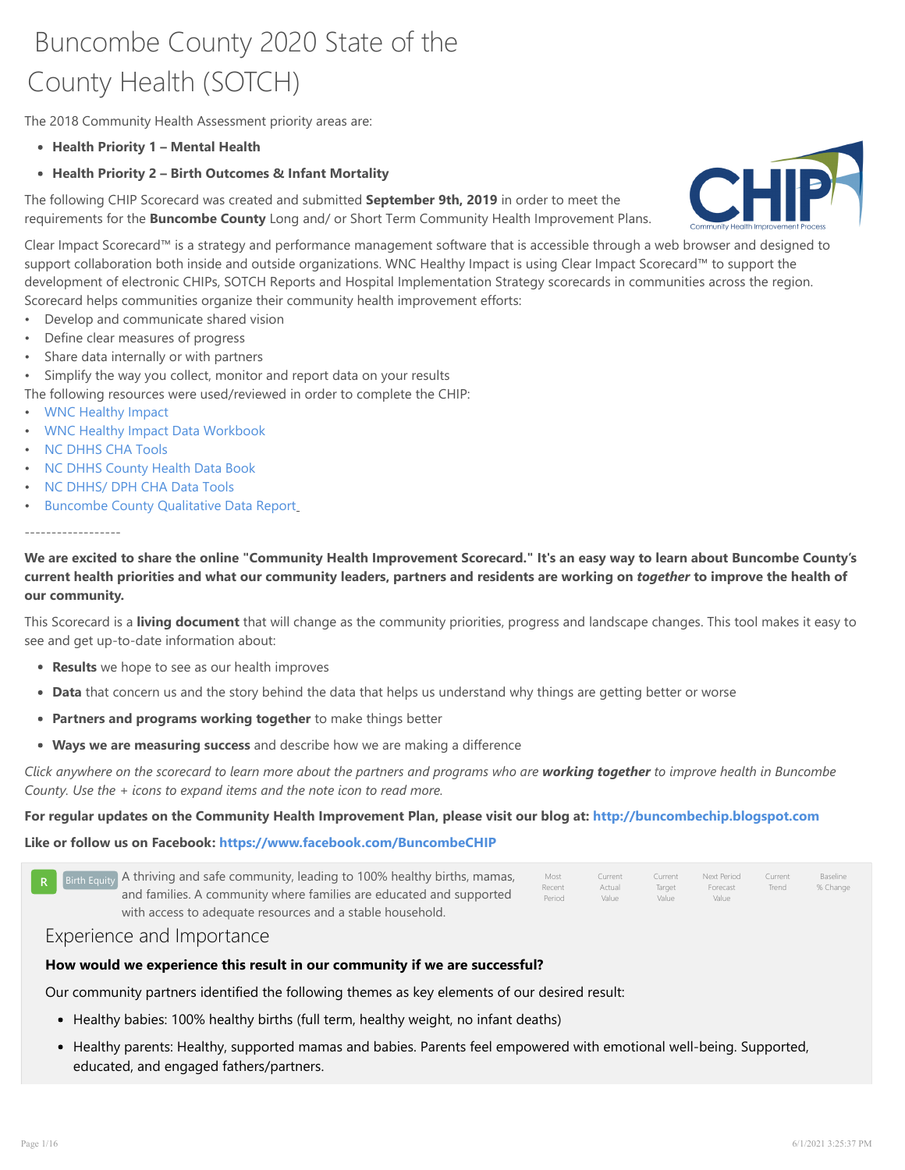# Buncombe County 2020 State of the County Health (SOTCH)

The 2018 Community Health Assessment priority areas are:

- Health Priority 1 Mental Health
- Health Priority 2 Birth Outcomes & Infant Mortality

The following CHIP Scorecard was created and submitted September 9th, 2019 in order to meet the requirements for the **Buncombe County** Long and/ or Short Term Community Health Improvement Plans.



Clear Impact Scorecard™ is a strategy and performance management software that is accessible through a web browser and designed to support collaboration both inside and outside organizations. WNC Healthy Impact is using Clear Impact Scorecard™ to support the development of electronic CHIPs, SOTCH Reports and Hospital Implementation Strategy scorecards in communities across the region. Scorecard helps communities organize their community health improvement efforts:

- Develop and communicate shared vision
- Define clear measures of progress
- Share data internally or with partners
- Simplify the way you collect, monitor and report data on your results

The following resources were used/reviewed in order to complete the CHIP:

- WNC Healthy Impact
- WNC Healthy Impact Data Workbook
- NC [DHHS](https://www.wnchn.org/wnc-healthy-impact/) CHA Tools
- NC DHHS [County](https://www.wnchn.org/wnc-data/regional-data/) Health Data Book
- NC DHHS/ DPH CHA Data Tools
- [Buncombe](https://publichealth.nc.gov/lhd/) County [Qualitative](https://schs.dph.ncdhhs.gov/data/databook/) Data Report

#### ----[--------------](https://publichealth.nc.gov/lhd/)

We are excited to share the online ["Community](https://drive.google.com/open?id=1k9MT4j1O29ZeQxxeNX6nuHGzhTt1z7WL) Health Improvement Scorecard." It's an easy way to learn about Buncombe County's current health priorities and what our community leaders, partners and residents are working on together to improve the health of our community.

This Scorecard is a living document that will change as the community priorities, progress and landscape changes. This tool makes it easy to see and get up-to-date information about:

- Results we hope to see as our health improves
- Data that concern us and the story behind the data that helps us understand why things are getting better or worse
- Partners and programs working together to make things better
- Ways we are measuring success and describe how we are making a difference

Click anywhere on the scorecard to learn more about the partners and programs who are working together to improve health in Buncombe County. Use the + icons to expand items and the note icon to read more.

For regular updates on the Community Health Improvement Plan, please visit our blog at: http://buncombechip.blogspot.com

Like or follow us on Facebook: https://www.facebook.com/BuncombeCHIP

| $R$ $\overline{B}$ Birth Equity A thriving and safe community, leading to 100% healthy births, mamas, | Most             | Current         | Current         | Next Period       | Current | Baseline |
|-------------------------------------------------------------------------------------------------------|------------------|-----------------|-----------------|-------------------|---------|----------|
| and families. A community where families are educated and supported                                   | Recent<br>Period | Actual<br>Value | Target<br>Value | Forecast<br>Value | Trend   | % Change |
| with access to adequate resources and a stable household.                                             |                  |                 |                 |                   |         |          |

# Experience and Importa[nce](https://www.facebook.com/BuncombeCHIP/)

#### How would [we experience this result in our community if we are successful?](http://storage.clearimpact.com/Container/Details/9978662)

Our communi[ty partners identified the following themes as key elements of our desir](http://storage.clearimpact.com/Container/Details/9978662)ed result:

- Healthy b[abies: 100% healthy births \(full term, healthy weight, no infa](http://storage.clearimpact.com/Container/Details/9978662)nt deaths)
- Healthy parents: Healthy, supported mamas and babies. Parents feel empowered with emotional well-being. Supported, educated, and engaged fathers/partners.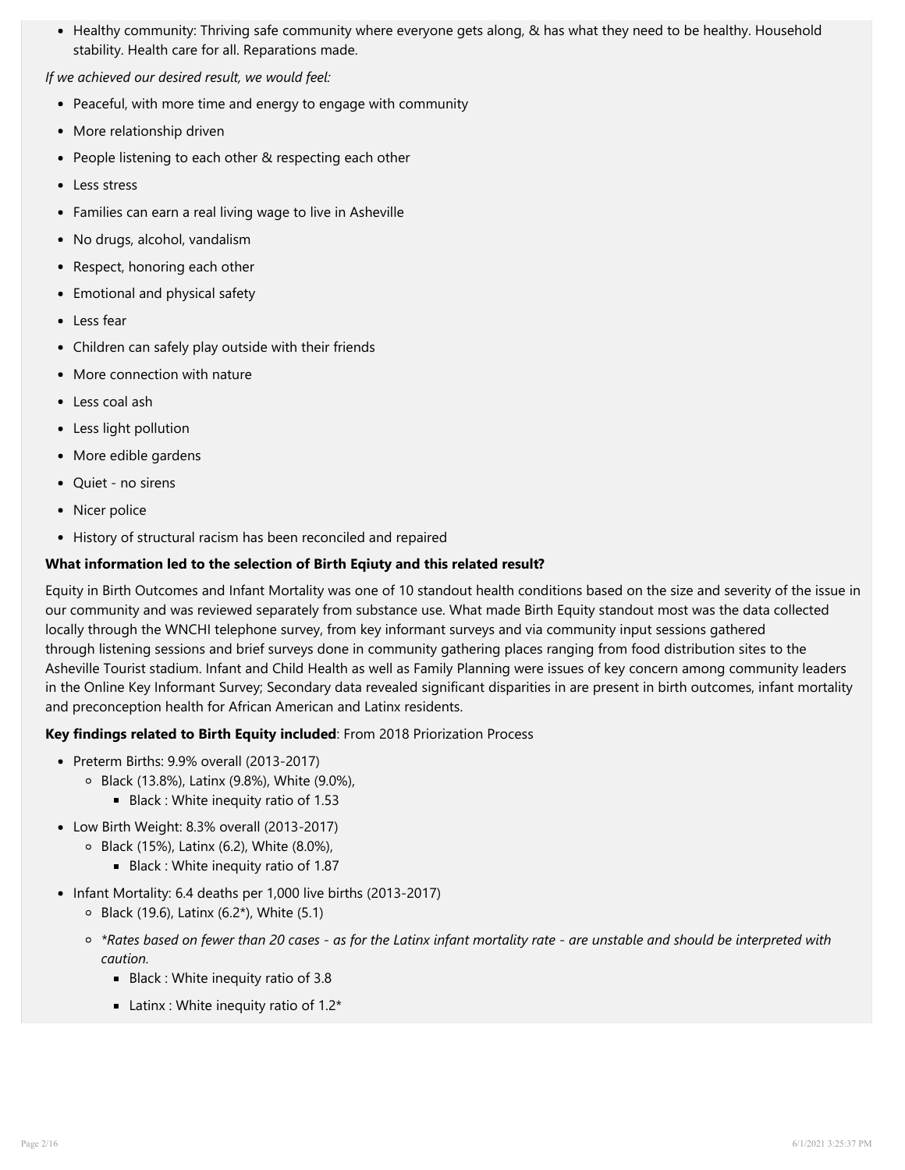• Healthy community: Thriving safe community where everyone gets along, & has what they need to be healthy. Household stability. Health care for all. Reparations made.

If we achieved our desired result, we would feel:

- Peaceful, with more time and energy to engage with community
- More relationship driven
- People listening to each other & respecting each other
- Less stress
- Families can earn a real living wage to live in Asheville
- No drugs, alcohol, vandalism
- Respect, honoring each other
- Emotional and physical safety
- Less fear
- Children can safely play outside with their friends
- More connection with nature
- Less coal ash
- Less light pollution
- More edible gardens
- Quiet no sirens
- Nicer police
- History of structural racism has been reconciled and repaired

# What information led to the selection of Birth Eqiuty and this related result?

Equity in Birth Outcomes and Infant Mortality was one of 10 standout health conditions based on the size and severity of the issue in our community and was reviewed separately from substance use. What made Birth Equity standout most was the data collected locally through the WNCHI telephone survey, from key informant surveys and via community input sessions gathered through listening sessions and brief surveys done in community gathering places ranging from food distribution sites to the Asheville Tourist stadium. Infant and Child Health as well as Family Planning were issues of key concern among community leaders in the Online Key Informant Survey; Secondary data revealed significant disparities in are present in birth outcomes, infant mortality and preconception health for African American and Latinx residents.

# Key findings related to Birth Equity included: From 2018 Priorization Process

- Preterm Births: 9.9% overall (2013-2017)
	- Black (13.8%), Latinx (9.8%), White (9.0%),
		- Black : White inequity ratio of 1.53
- Low Birth Weight: 8.3% overall (2013-2017)
	- Black (15%), Latinx (6.2), White (8.0%),
		- Black : White inequity ratio of 1.87
- Infant Mortality: 6.4 deaths per 1,000 live births (2013-2017)
	- $\circ$  Black (19.6), Latinx (6.2\*), White (5.1)
	- \*Rates based on fewer than 20 cases as for the Latinx infant mortality rate are unstable and should be interpreted with caution.
		- Black : White inequity ratio of 3.8
		- **Latinx : White inequity ratio of 1.2\***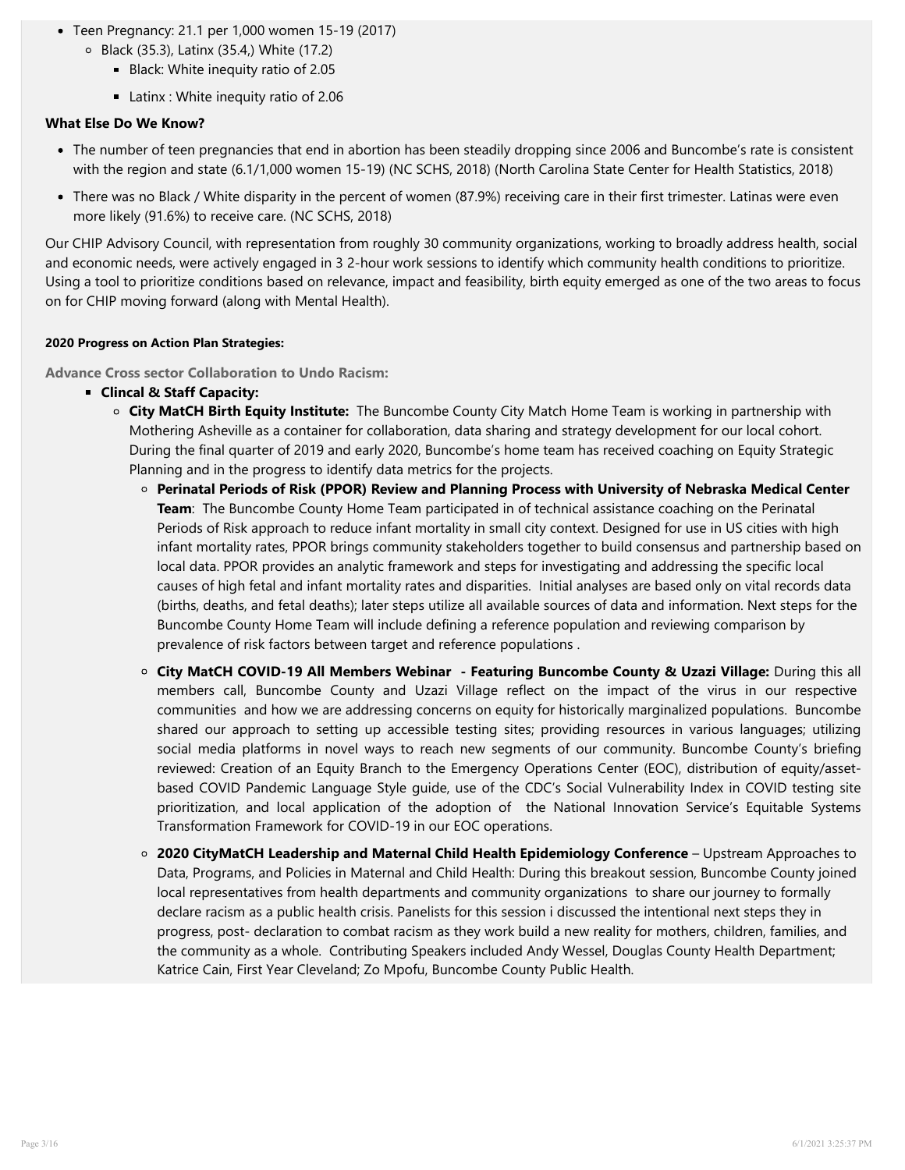- Teen Pregnancy: 21.1 per 1,000 women 15-19 (2017)
	- Black (35.3), Latinx (35.4,) White (17.2)
		- Black: White inequity ratio of 2.05
		- Latinx : White inequity ratio of 2.06

#### What Else Do We Know?

- The number of teen pregnancies that end in abortion has been steadily dropping since 2006 and Buncombe's rate is consistent with the region and state (6.1/1,000 women 15-19) (NC SCHS, 2018) (North Carolina State Center for Health Statistics, 2018)
- There was no Black / White disparity in the percent of women (87.9%) receiving care in their first trimester. Latinas were even more likely (91.6%) to receive care. (NC SCHS, 2018)

Our CHIP Advisory Council, with representation from roughly 30 community organizations, working to broadly address health, social and economic needs, were actively engaged in 3 2-hour work sessions to identify which community health conditions to prioritize. Using a tool to prioritize conditions based on relevance, impact and feasibility, birth equity emerged as one of the two areas to focus on for CHIP moving forward (along with Mental Health).

#### 2020 Progress on Action Plan Strategies:

Advance Cross sector Collaboration to Undo Racism:

- **EXEC** Clincal & Staff Capacity:
	- $\circ$  City MatCH Birth Equity Institute: The Buncombe County City Match Home Team is working in partnership with Mothering Asheville as a container for collaboration, data sharing and strategy development for our local cohort. During the final quarter of 2019 and early 2020, Buncombe's home team has received coaching on Equity Strategic Planning and in the progress to identify data metrics for the projects.
		- Perinatal Periods of Risk (PPOR) Review and Planning Process with University of Nebraska Medical Center Team: The Buncombe County Home Team participated in of technical assistance coaching on the Perinatal Periods of Risk approach to reduce infant mortality in small city context. Designed for use in US cities with high infant mortality rates, PPOR brings community stakeholders together to build consensus and partnership based on local data. PPOR provides an analytic framework and steps for investigating and addressing the specific local causes of high fetal and infant mortality rates and disparities. Initial analyses are based only on vital records data (births, deaths, and fetal deaths); later steps utilize all available sources of data and information. Next steps for the Buncombe County Home Team will include defining a reference population and reviewing comparison by prevalence of risk factors between target and reference populations .
		- City MatCH COVID-19 All Members Webinar Featuring Buncombe County & Uzazi Village: During this all members call, Buncombe County and Uzazi Village reflect on the impact of the virus in our respective communities and how we are addressing concerns on equity for historically marginalized populations. Buncombe shared our approach to setting up accessible testing sites; providing resources in various languages; utilizing social media platforms in novel ways to reach new segments of our community. Buncombe County's briefing reviewed: Creation of an Equity Branch to the Emergency Operations Center (EOC), distribution of equity/assetbased COVID Pandemic Language Style guide, use of the CDC's Social Vulnerability Index in COVID testing site prioritization, and local application of the adoption of the National Innovation Service's Equitable Systems Transformation Framework for COVID-19 in our EOC operations.
		- $\circ$  2020 CityMatCH Leadership and Maternal Child Health Epidemiology Conference Upstream Approaches to Data, Programs, and Policies in Maternal and Child Health: During this breakout session, Buncombe County joined local representatives from health departments and community organizations to share our journey to formally declare racism as a public health crisis. Panelists for this session i discussed the intentional next steps they in progress, post- declaration to combat racism as they work build a new reality for mothers, children, families, and the community as a whole. Contributing Speakers included Andy Wessel, Douglas County Health Department; Katrice Cain, First Year Cleveland; Zo Mpofu, Buncombe County Public Health.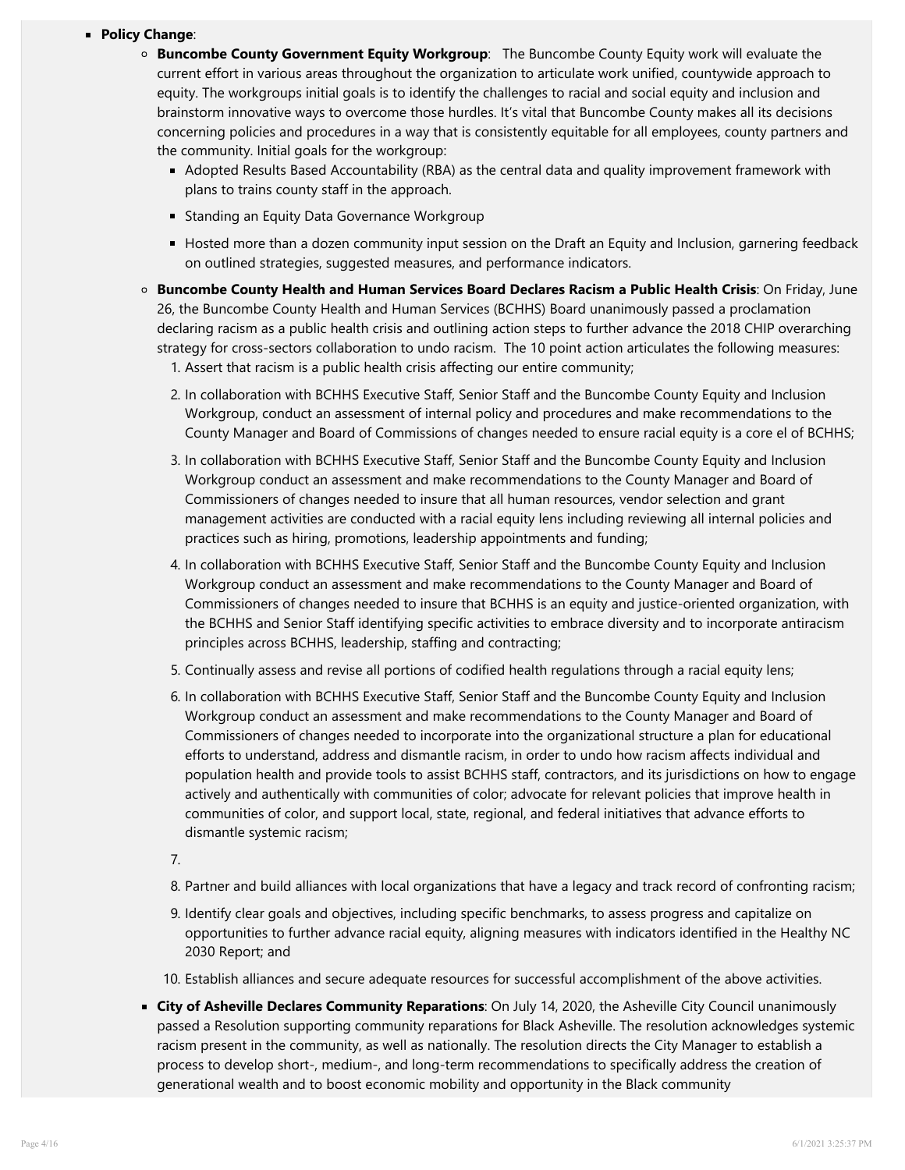# **Policy Change:**

- $\circ$  **Buncombe County Government Equity Workgroup**: The Buncombe County Equity work will evaluate the current effort in various areas throughout the organization to articulate work unified, countywide approach to equity. The workgroups initial goals is to identify the challenges to racial and social equity and inclusion and brainstorm innovative ways to overcome those hurdles. It's vital that Buncombe County makes all its decisions concerning policies and procedures in a way that is consistently equitable for all employees, county partners and the community. Initial goals for the workgroup:
	- Adopted Results Based Accountability (RBA) as the central data and quality improvement framework with [plans to trains county staff in the approach.](https://www.nis.us/blog/0jpt3zevqsdwgd3hv2zv2n74xckhvz)
	- **Standing an Equity Data Governance Workgroup**
	- [Hosted more than a dozen community input session on the Dr](https://www.citymatch.org/wp-content/uploads/2021/01/2020-Conference-Archive-7.pdf)aft an Equity and Inclusion, garnering feedback on outlined strategies, suggested measures, and performance indicators.
- o Buncombe County Health and Human Services Board Declares Racism a Public Health Crisis: On Friday, June 26, the Buncombe County Health and Human Services (BCHHS) Board unanimously passed a proclamation declaring racism as a public health crisis and outlining action steps to further advance the 2018 CHIP overarching strategy for cross-sectors collaboration to undo racism. The 10 point action articulates the following measures:
	- 1. Assert that racism is a public health crisis affecting our entire community;
	- 2. In collaboration with BCHHS Executive Staff, Senior Staff and the Buncombe County Equity and Inclusion Workgroup, conduct an assessment of internal policy and procedures and make recommendations to the County Manager and Board of Commissions of changes needed to ensure racial equity is a core el of BCHHS;
	- 3. In collaboration with BCHHS Executive Staff, Senior Staff and the Buncombe County Equity and Inclusion Workgroup conduct an assessment and make recommendations to the County Manager and Board of Commissioners of changes needed to insure that all human resources, vendor selection and grant management activities are conducted with a racial equity lens including reviewing all internal policies and practices such as hiring, promotions, leadership appointments and funding;
	- 4. In collaboration with BCHHS Executive Staff, Senior Staff and the Buncombe County Equity and Inclusion Workgroup conduct an assessment and make recommendations to the County Manager and Board of Commissioners of changes needed to insure that BCHHS is an equity and justice-oriented organization, with the BCHHS and Senior Staff identifying specific activities to embrace diversity and to incorporate antiracism principles across BCHHS, leadership, staffing and contracting;
	- 5. Continually assess and revise all portions of codified health regulations through a racial equity lens;
	- 6. In collaboration with BCHHS Executive Staff, Senior Staff and the Buncombe County Equity and Inclusion Workgroup conduct an assessment and make recommendations to the County Manager and Board of Commissioners of changes needed to incorporate into the organizational structure a plan for educational efforts to understand, address and dismantle racism, in order to undo how racism affects individual and population health and provide tools to assist BCHHS staff, contractors, and its jurisdictions on how to engage actively and authentically with communities of color; advocate for relevant policies that improve health in communities of color, and support local, state, regional, and federal initiatives that advance efforts to dismantle systemic racism;
	- 7.
	- 8. Partner and build alliances with local organizations that have a legacy and track record of confronting racism;
	- 9. Identify clear goals and objectives, including specific benchmarks, to assess progress and capitalize on opportunities to further advance racial equity, aligning measures with indicators identified in the Healthy NC 2030 Report; and
	- 10. Establish alliances and secure adequate resources for successful accomplishment of the above activities.
- **Examps City of Asheville Declares Community Reparations:** On July 14, 2020, the Asheville City Council unanimously passed a Resolution supporting community reparations for Black Asheville. The resolution acknowledges systemic racism present in the community, as well as nationally. The resolution directs the City Manager to establish a process to develop short-, medium-, and long-term recommendations to specifically address the creation of generational wealth and to boost economic mobility and opportunity in the Black community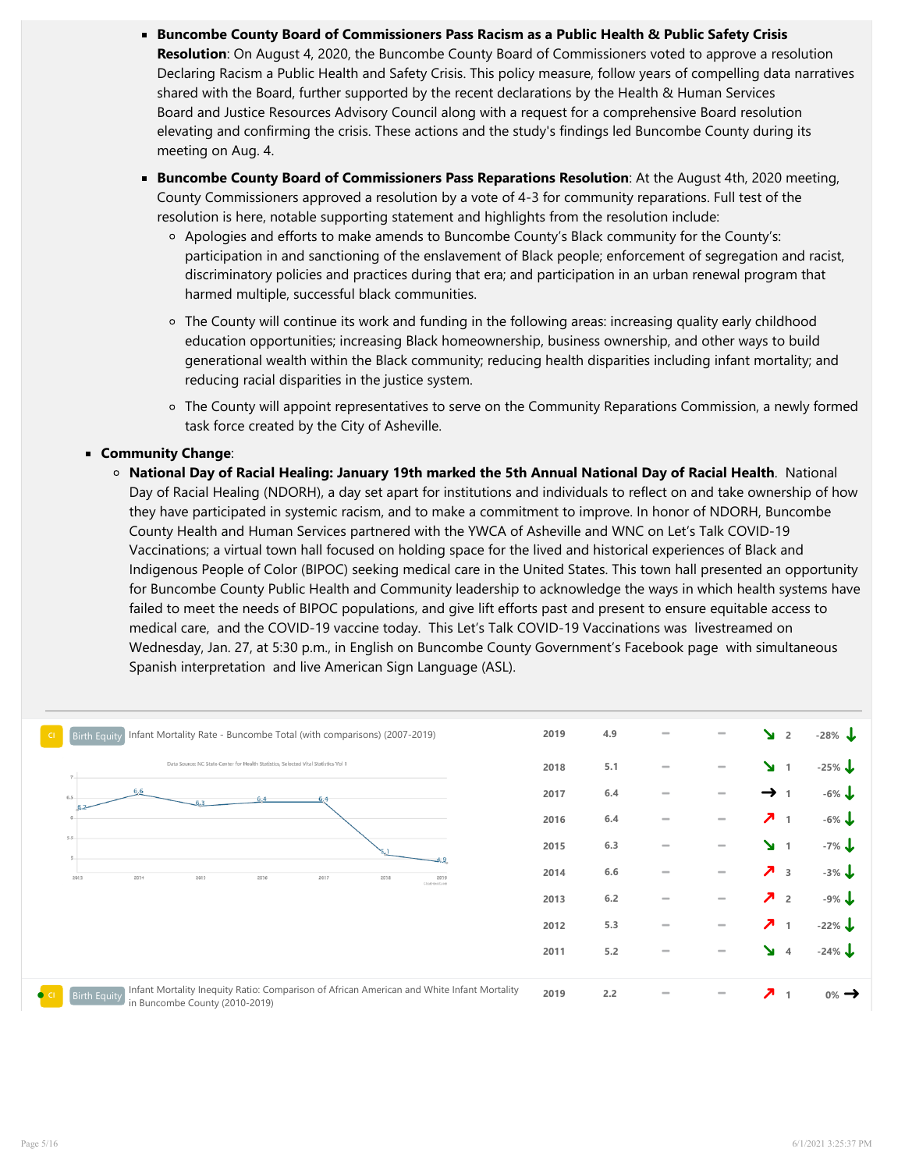- Buncombe County Board of Commissioners Pass Racism as a Public Health & Public Safety Crisis **Resolution**: On August 4, 2020, the Buncombe County Board of Commissioners voted to approve a resolution Declaring Racism a Public Health and Safety Crisis. This policy measure, follow years of compelling data narratives shared with the Board, further supported by the recent declarations by the Health & Human Services Board and Justice Resources Advisory Council along with a request for a comprehensive Board resolution elevating and confirming the crisis. These actions and the study's findings led Buncombe County during its meeting on Aug. 4.
- **Buncombe County Board of Commissioners Pass Reparations Resolution**: At the August 4th, 2020 meeting, County Commissioners approved a resolution by a vote of 4-3 for community reparations. Full test of the resolution is here, notable supporting statement and highlights from the resolution include:
	- Apologies and efforts to make amends to Buncombe County's Black community for the County's: participation in and sanctioning of the enslavement of Black people; enforcement of segregation and racist, discriminatory policies and practices during that era; and participation in an urban renewal program that harmed multiple, successful black communities.
	- $\circ$  The County will continue its work and funding in the following areas: increasing quality early childhood education opportunities; increasing Black homeownership, business ownership, and other ways to build generational wealth within the Black community; reducing health disparities including infant mortality; and reducing racial disparities in the justice system.
	- The Cou[nty will appoint representatives to serve on the Community Reparations](https://drive.google.com/file/d/1WKialVISWzu72mhasyy9SslDbVGMSj5U/view) Commission, a newly formed task force created by the City of Asheville.

# **E** Community Change:

National Day of Racial Healing: January 19th marked the 5th Annual National Day of Racial Health. National Day of Racial Healing (NDORH), a day set apart for institutions and individuals to reflect on and take ownership of how they have participated in systemic racism, and to make a commitment to improve. In honor of NDORH, Buncombe County Health and Human Services partnered with the YWCA of Asheville and WNC on Let's Talk COVID-19 Vaccinations; a virtual town hall focused on holding space for the lived and historical expe[riences of Black and](https://www.buncombecounty.org/common/Commissioners/20200804/HHS Declaration Racism as a Public Safety Crisis.pdf) Indige[nous Pe](https://www.buncombecounty.org/common/Commissioners/20200804/HHS Declaration Racism as a Public Safety Crisis.pdf)ople [of Color \(BIPOC\) seeking medical care](https://www.buncombecounty.org/common/Commissioners/20200804/JRAC Declaration Racism as a Public Safety Crisis.pdf) in the United States. This town hall presented an opportunity for Buncombe County Public Health and Community leadership to acknowledge the ways in which health systems have failed to meet the needs of BIPOC populations, and give lift efforts past and present to ensure equitable access to medical care, and the COVID-19 vaccine today. This Let's Talk COVID-19 Vaccinations was livestreamed on Wednesday, Jan. 27, at 5:30 p.m., in English on Buncombe County Government's Facebook page with simultaneous Spanish interpretation and live American Sign Language (ASL).

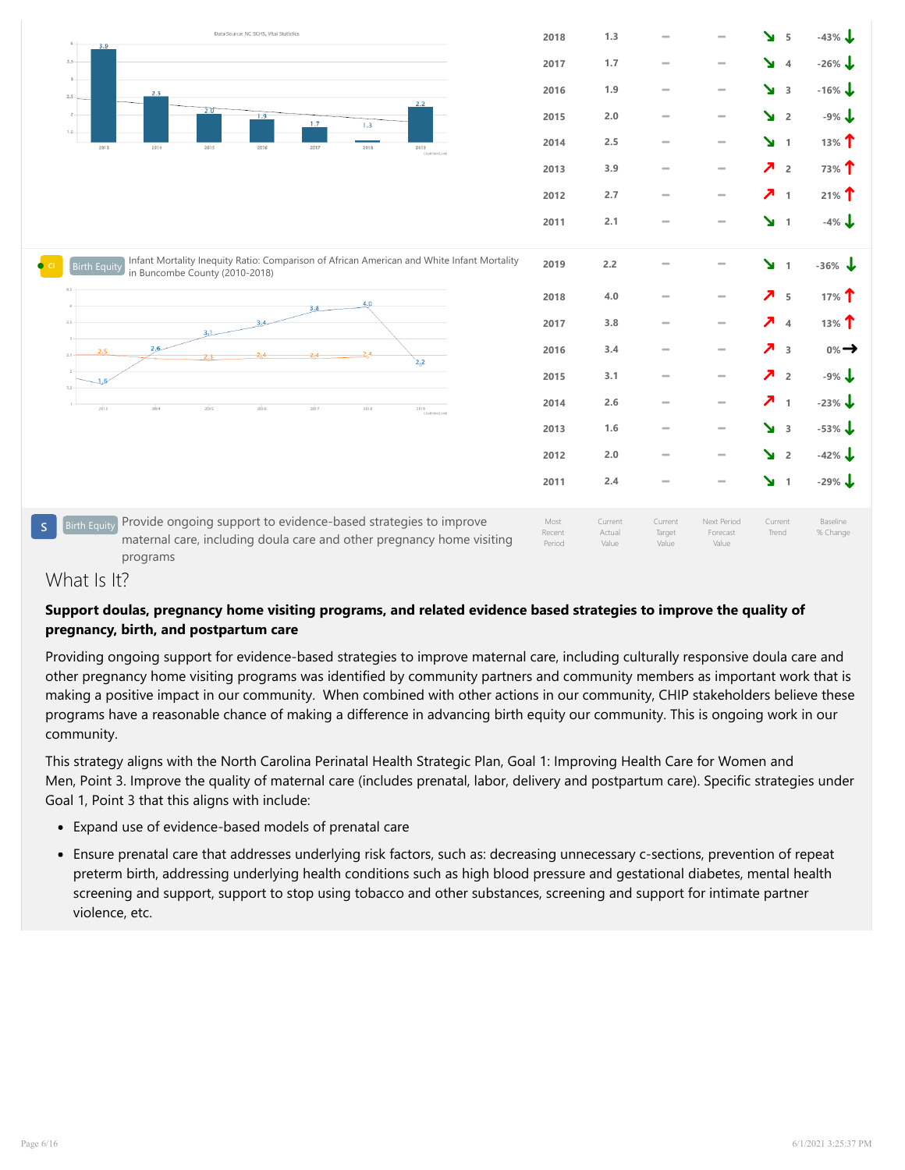

# What Is It?

# Support doulas, pregnancy home visiting programs, and related evidence based strategies to improve the quality of pregnancy, birth, and postpartum care

Providing ongoing support for evidence-based strategies to improve maternal care, including culturally responsive doula care and other pregnancy home visiting programs was identified by community partners and community members as important work that is making a positive impact in our community. When combined with other actions in our community, CHIP stakeholders believe these programs have a reasonable chance of making a difference in advancing birth equity our community. This is ongoing work in our community.

This strategy aligns with the North Carolina Perinatal Health Strategic Plan, Goal 1: Improving Health Care for Women and Men, Point 3. Improve the quality of maternal care (includes prenatal, labor, delivery and postpartum care). Specific strategies under Goal 1, Point 3 that this aligns with include:

- Expand use of evidence-based models of prenatal care
- Ensure pre[natal care that addresses underlying risk factors, such as: decreasing un](http://storage.clearimpact.com/Measure/Details/99130009)necessary c-sections, prevention of repeat preterm bi[rth, addressing underlying](http://storage.clearimpact.com/Measure/Details/99130009) health conditions such as high blood pressure and gestational diabetes, mental health screening and support, support to stop using tobacco and other substances, screening and support for intimate partner violence, etc.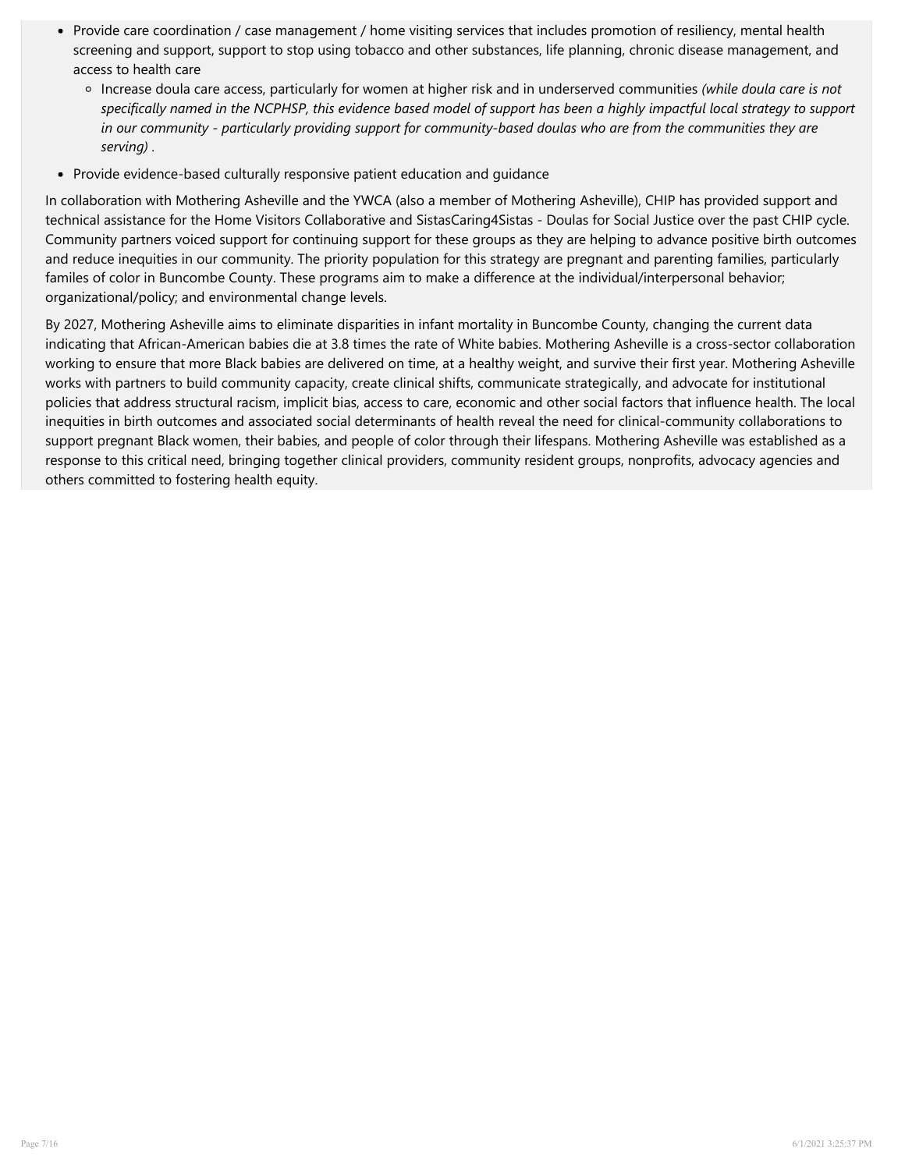- Provide care coordination / case management / home visiting services that includes promotion of resiliency, mental health screening and support, support to stop using tobacco and other substances, life planning, chronic disease management, and access to health care
	- o Increase doula care access, particularly for women at higher risk and in underserved communities (while doula care is not specifically named in the NCPHSP, this evidence based model of support has been a highly impactful local strategy to support in our community - particularly providing support for community-based doulas who are from the communities they are serving) .
- Provide evidence-based culturally responsive patient education and quidance

In collaboration with Mothering Asheville and the YWCA (also a member of Mothering Asheville), CHIP has provided support and technical assistance for the Home Visitors Collaborative and SistasCaring4Sistas - Doulas for Social Justice over the past CHIP cycle. Community p[artners voiced support for continuing support for these groups as t](http://storage.clearimpact.com/Container/Details/9978659)hey are helping to advance positive birth outcomes and reduce in[equities in our community. The priority population for this strategy are p](http://storage.clearimpact.com/Container/Details/9978659)regnant and parenting families, particularly familes of col[or in Bunco](http://storage.clearimpact.com/Container/Details/9978659)mbe County. These programs aim to make a difference at the individual/interpersonal behavior; organizational/policy; and environmental change levels.

By 2027, Mothering Asheville aims to eliminate disparities in infant mortality in Buncombe County, changing the current data indicating that African-American babies die at 3.8 times the rate of White babies. Mothering Asheville is a cross-sector collaboration working to ensure that more Black babies are delivered on time, at a healthy weight, and survive their first year. Mothering Asheville works with partners to build community capacity, create clinical shifts, communicate strategically, and advocate for institutional policies that address structural racism, implicit bias, access to care, economic and other social factors that influence health. The local inequities in birth outcomes and associated social determinants of health reveal the need for clinical-community collaborations to support pregnant Black women, their babies, and people of color through their lifespans. Mothering Asheville was established as a response to this critical need, bringing together clinical providers, community resident groups, nonprofits, advocacy agencies and others committed to fostering health equity.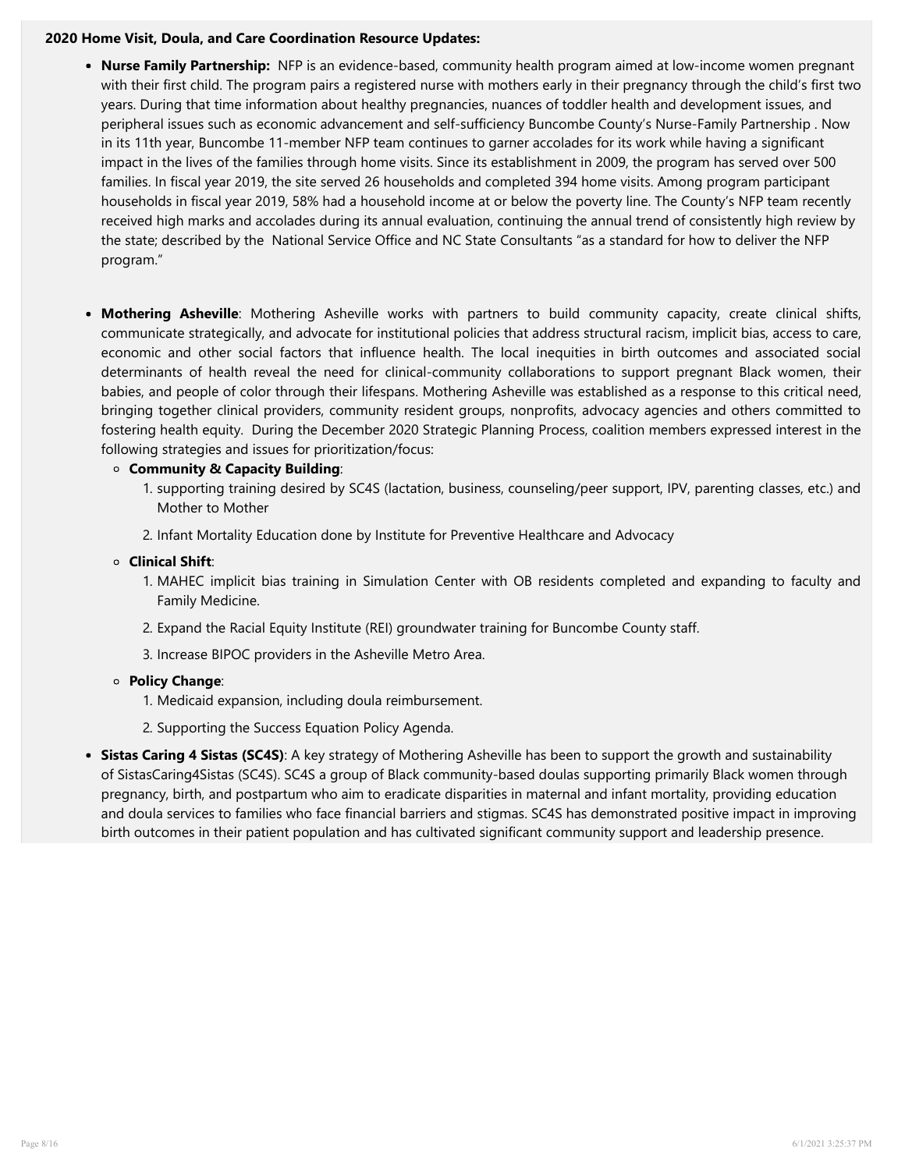#### 2020 Home Visit, Doula, and Care Coordination Resource Updates:

- Nurse Family Partnership: [NFP is an evidence-based, community health program aimed at low-income wom](https://whb.ncpublichealth.com/phsp/improve.htm#)en pregnant with their first child. The program pairs a registered nurse with mothers early in their pregnancy through the child's first two years. During that time information about healthy pregnancies, nuances of toddler health and development issues, and peripheral issues such as economic advancement and self-sufficiency Buncombe County's Nurse-Family Partnership . Now in its 11th year, Buncombe 11-member NFP team continues to garner accolades for its work while having a significant impact in the lives of the families through home visits. Since its establishment in 2009, the program has served over 500 families. In fiscal year 2019, the site served 26 households and completed 394 home visits. Among program participant households in fiscal year 2019, 58% had a household income at or below the poverty line. The County's NFP team recently received high marks and accolades during its annual evaluation, continuing the annual trend of consistently high review by the state; described by the National Service Office and NC State Consultants "as a standard for how to deliver the NFP program."
- Mothering Asheville: Mothering Asheville works with partners to build community capacity, create clinical shifts, communicate strategically, and advocate for institutional policies that address structural racism, implicit bias, access to care, economic and other social factors that influence health. The local inequities in birth outcomes and associated social determinants of health reveal the need for clinical-community collaborations to support pregnant Black women, their babies, and people of color through their lifespans. Mothering Asheville was established as a response to this critical need, bringing together clinical providers, community resident groups, nonprofits, advocacy agencies and others committed to fostering health equity. During the December 2020 Strategic Planning Process, coalition members expressed interest in the following strategies and issues for prioritization/focus:

# Community & Capacity Building:

- 1. supporting training desired by SC4S (lactation, business, counseling/peer support, IPV, parenting classes, etc.) and Mother to Mother
- 2. Infant Mortality Education done by Institute for Preventive Healthcare and Advocacy

# Clinical Shift:

- 1. MAHEC implicit bias training in Simulation Center with OB residents completed and expanding to faculty and Family Medicine.
- 2. Expand the Racial Equity Institute (REI) groundwater training for Buncombe County staff.
- 3. Increase BIPOC providers in the Asheville Metro Area.

# Policy Change:

- 1. Medicaid expansion, including doula reimbursement.
- 2. Supporting the Success Equation Policy Agenda.
- Sistas Caring 4 Sistas (SC4S): A key strategy of Mothering Asheville has been to support the growth and sustainability of SistasCaring4Sistas (SC4S). SC4S a group of Black community-based doulas supporting primarily Black women through pregnancy, birth, and postpartum who aim to eradicate disparities in maternal and infant mortality, providing education and doula services to families who face financial barriers and stigmas. SC4S has demonstrated positive impact in improving birth outcomes in their patient population and has cultivated significant community support and leadership presence.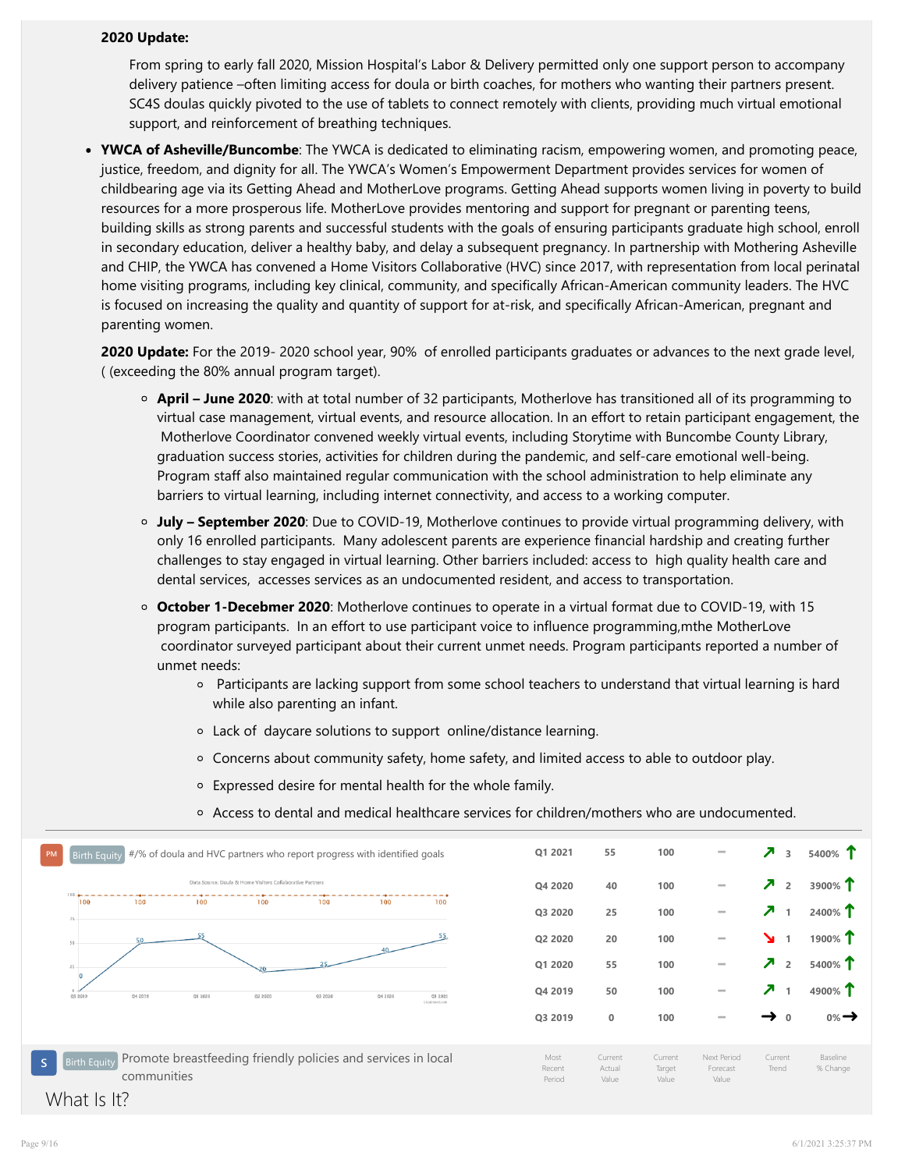#### 2020 Update:

From spring to early fall 2020, Mission Hospital's Labor & Delivery permitted only one support person to accompany delivery patience –often limiting access for doula or birth coaches, for mothers who wanting their partners present. SC4S doulas quickly pivoted to the use of tablets to connect remotely with clients, providing much virtual emotional support, and reinforcement of breathing techniques.

• YWCA of Asheville/Buncombe: The YWCA is dedicated to eliminating racism, empowering women, and promoting peace, justice, freedom, and dignity for all. The YWCA's Women's Empowerment Department provides services for women of childbearing age via its Getting Ahead and MotherLove programs. Getting Ahead supports women living in poverty to build resources for a more prosperous life. MotherLove provides mentoring and support for pregnant or parenting teens, building skills as strong parents and successful students with the goals of ensuring participants graduate high school, enroll in secondary education, deliver a healthy baby, and delay a subsequent pregnancy. In partnership with Mothering Asheville and CHIP, the YWCA has convened a Home Visitors Collaborative (HVC) since 2017, with representation from local perinatal home visiting programs, including key clinical, community, and specifically African-American community leaders. The HVC is focused on increasing the quality and quantity of support for at-risk, and specifically African-American, pregnant and parenting women.

2020 Update: For the 2019- 2020 school year, 90% of enrolled participants graduates or advances to the next grade level, ( (exceeding the 80% annual program target).

- April June 2020: with at total number of 32 participants, Motherlove has transitioned all of its programming to virtual case management, virtual events, and resource allocation. In an effort to retain participant engagement, the Motherlove Coordinator convened weekly virtual events, including Storytime with Buncombe County Library, graduation success stories, activities for children during the pandemic, and self-care emotional well-being. Program staff also maintained regular communication with the school administration to help eliminate any barriers to virtual learning, including internet connectivity, and access to a working computer.
- July September 2020: Due to COVID-19, Motherlove continues to provide virtual programming delivery, with only 16 enrolled participants. Many adolescent parents are experience financial hardship and creating further challenges to stay engaged in virtual learning. Other barriers included: access to high quality health care and dental services, accesses services as an undocumented resident, and access to transportation.
- October 1-Decebmer 2020: Motherlove continues to operate in a virtual format due to COVID-19, with 15 program participants. In an effort to use participant voice to influence programming,mthe MotherLove coordinator surveyed participant about their current unmet needs. Program participants reported a number of unmet needs:
	- Participants are lacking support from some school teachers to understand that virtual learning is hard while also parenting an infant.
	- Lack of daycare solutions to support online/distance learning.
	- [Concern](https://protect-us.mimecast.com/s/FZahCrkBnOs88zmYTGo_8y?domain=facebook.com)s about community safety, home safety, and limited access to able to outdoor play.
	- Expressed desire for mental health for the whole family.
	- Access to dental and medical healthcare services for children/mothers who are undocumented.

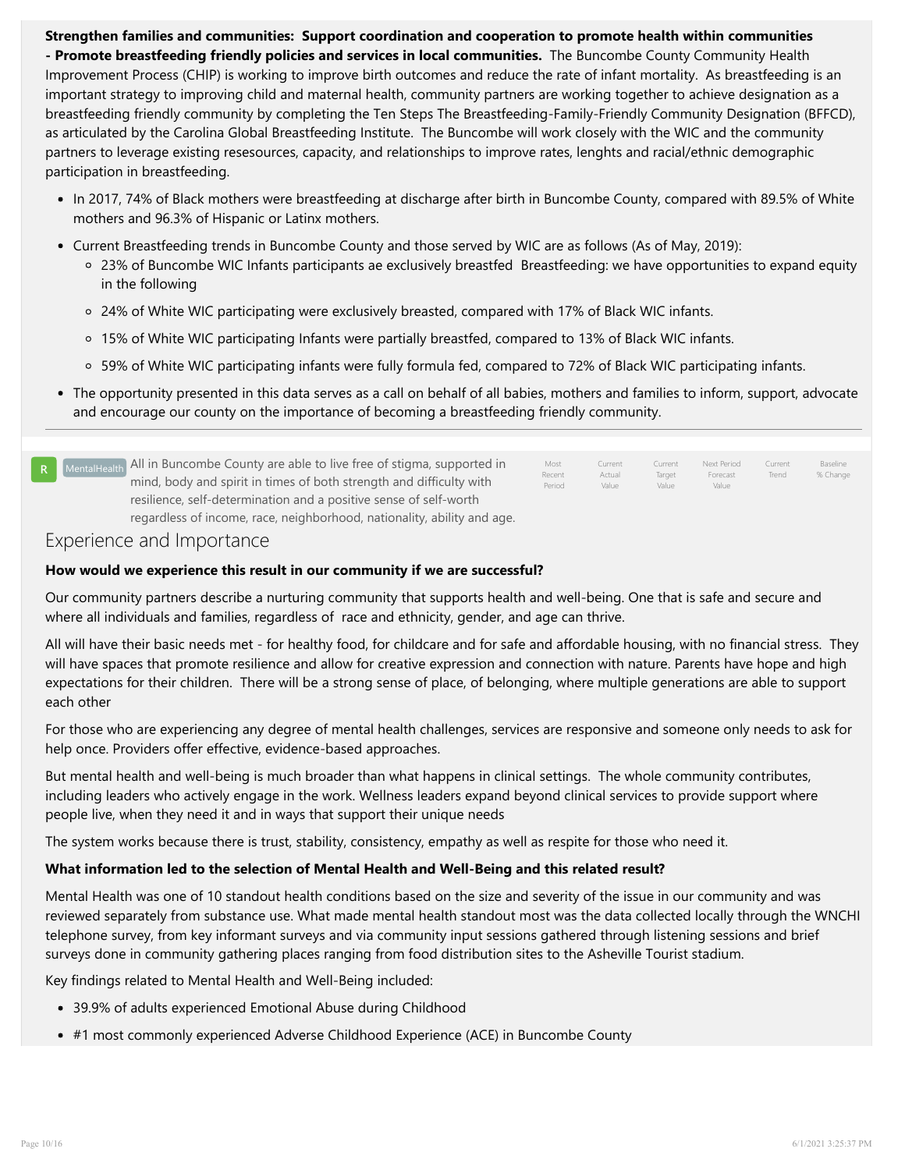Strengthen families and communities: Support coordination and cooperation to promote health within communities - Promote breastfeeding friendly policies and services in local communities. The Buncombe County Community Health Improvement Process (CHIP) is working to improve birth outcomes and reduce the rate of infant mortality. As breastfeeding is an important strategy to improving child and maternal health, community partners are working together to achieve designation as a breastfeeding friendly community by completing the Ten Steps The Breastfeeding-Family-Friendly Community Designation (BFFCD), as articulated by the Carolina Global Breastfeeding Institute. The Buncombe will work closely with the WIC and the community partners to leverage existing resesources, capacity, and relationships to improve rates, lenghts and racial/ethnic demographic participation in breastfeeding.

- In 2017, 74% of Black mothers were breastfeeding at discharge after birth in Buncombe County, compared with 89.5% of White mothers and 96.3% of Hispanic or Latinx mothers.
- Current Breastfeeding trends in Buncombe County and those served by WIC are as follows (As of May, 2019):
	- 23% of Buncombe WIC Infants participants ae exclusively breastfed Breastfeeding: we have opportunities to expand equity in the following
	- 24% of White WIC participating were exclusively breasted, compared with 17% of Black WIC infants.
	- 15% of White WIC participating Infants were partially breastfed, compared to 13% of Black WIC infants.
	- 59% of White WIC participating infants were fully formula fed, compared to 72% of Black WIC participating infants.
- The opportunity presented in this data serves as a call on behalf of all babies, mothers and families to inform, support, advocate and encourage our county on the importance of becoming a breastfeeding friendly community.

| R MentalHealth All in Buncombe County are able to live free of stigma, supported in<br>mind, body and spirit in times of both strength and difficulty with | Most<br>Recent<br>Period | Current<br>Actual<br>Value | Current<br>Target<br>Value | Next Period<br>Forecast<br>Value | Current<br>Trend | Baseline<br>% Change |
|------------------------------------------------------------------------------------------------------------------------------------------------------------|--------------------------|----------------------------|----------------------------|----------------------------------|------------------|----------------------|
| resilience, self-determination and a positive sense of self-worth                                                                                          |                          |                            |                            |                                  |                  |                      |
| regardless of income, race, neighborhood, nationality, ability and age.                                                                                    |                          |                            |                            |                                  |                  |                      |

# Experience and Importance

# How would we experience this result in our community if we are successful?

Our community partners describe a nurturing community that supports health and well-being. One that is safe and secure and where all individuals and families, regardless of race and ethnicity, gender, and age can thrive.

All will have their basic needs met - for healthy food, for childcare and for safe and affordable housing, with no financial stress. They will have space[s that promote resilience and allow for creative expression](http://storage.clearimpact.com/Measure/Details/100077776) and connection with nature. Parents have hope and high expectations for their children. There will be a strong sense of place, of belonging, where multiple generations are able to support each other

For those who are experiencing any degree of mental health challenges, services are responsive and someone only needs to ask for help once. Providers offer effective, evidence-based approaches.

But mental health and well-being is much broader than what happens in clinical settings. The whole community contributes, including leaders who actively engage in the work. Wellness leaders expand beyond clinical services to provide support where people live, when they need it and in ways that support their unique needs

The system works because there is trust, stability, consistency, empathy as well as respite for those who need it.

# What information led to the selection of Mental Health and Well-Being and this related result?

Mental Health [was one of 10 standout health conditions based on the size](http://storage.clearimpact.com/Container/Details/9978660) and severity of the issue in our community and was reviewed sepa[rately from su](http://storage.clearimpact.com/Container/Details/9978660)bstance use. What made mental health standout most was the data collected locally through the WNCHI telephone survey, from key informant surveys and via community input sessions gathered through listening sessions and brief surveys done in community gathering places ranging from food distribution sites to the Asheville Tourist stadium.

Key findings related to Mental Health and Well-Being included:

- 39.9% of adults experienced Emotional Abuse during Childhood
- #1 most commonly experienced Adverse Childhood Experience (ACE) in Buncombe County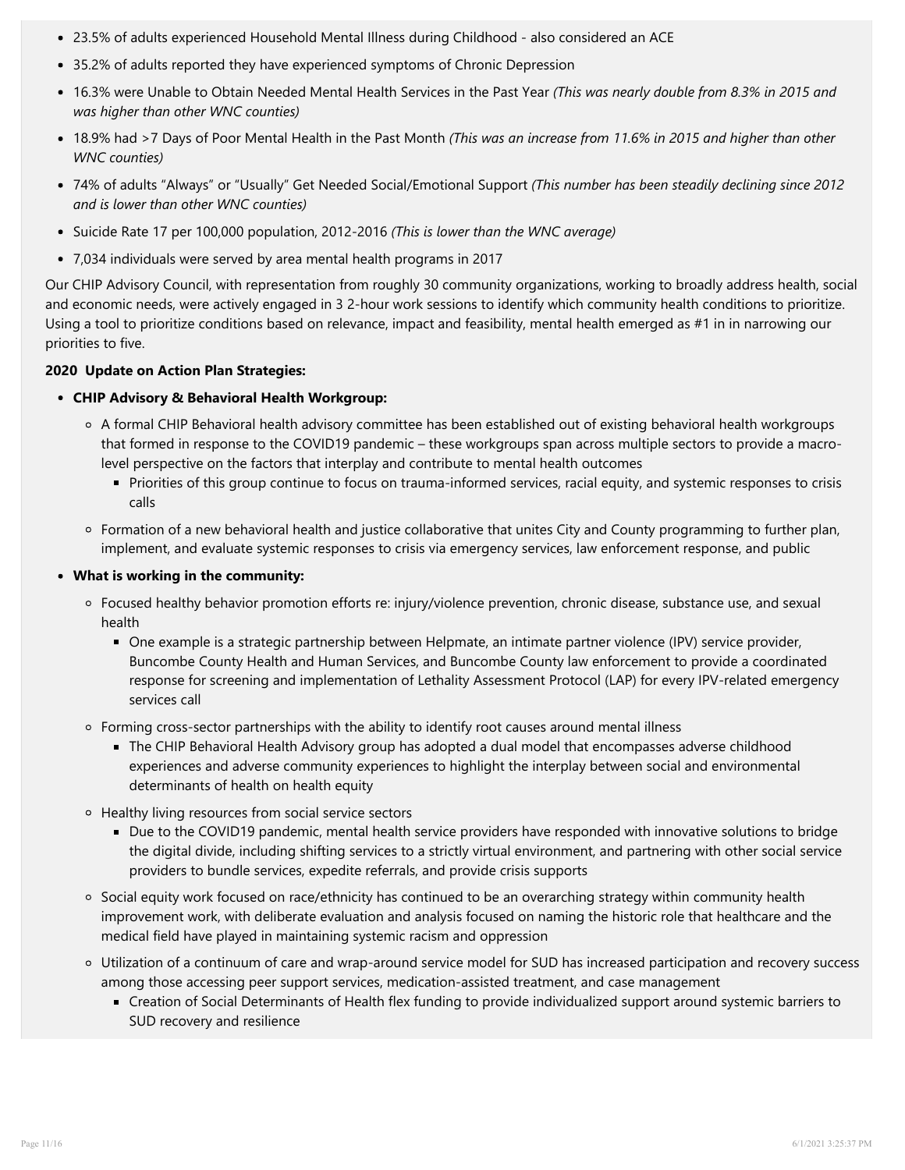- 23.5% of adults experienced Household Mental Illness during Childhood also considered an ACE
- 35.2% of adults reported they have experienced symptoms of Chronic Depression
- 16.3% were Unable to Obtain Needed Mental Health Services in the Past Year (This was nearly double from 8.3% in 2015 and was higher than other WNC counties)
- 18.9% had >7 Days of Poor Mental Health in the Past Month (This was an increase from 11.6% in 2015 and higher than other WNC counties)
- 74% of adults "Always" or "Usually" Get Needed Social/Emotional Support (This number has been steadily declining since 2012 and is lower than other WNC counties)
- Suicide Rate 17 per 100,000 population, 2012-2016 (This is lower than the WNC average)
- 7,034 individuals were served by area mental health programs in 2017

Our CHIP Advisory Council, with representation from roughly 30 community organizations, working to broadly address health, social and economic needs, were actively engaged in 3 2-hour work sessions to identify which community health conditions to prioritize. Using a tool to prioritize conditions based on relevance, impact and feasibility, mental health emerged as #1 in in narrowing our priorities to five.

#### 2020 Update on Action Plan Strategies:

#### CHIP Advisory & Behavioral Health Workgroup:

- A for[mal CHIP Behavioral health advisory committee has been established o](http://storage.clearimpact.com/Container/Details/9978661)ut of existing behavioral health workgroups that fo[rmed in response to the COVID19 pandemic – these workgroups s](http://storage.clearimpact.com/Container/Details/9978661)pan across multiple sectors to provide a macrolevel p[erspective on the factors that interplay and contribute to menta](http://storage.clearimpact.com/Container/Details/9978661)l health outcomes
	- Pr[iorities of this group continue to focus on trauma-informed services, ra](http://storage.clearimpact.com/Container/Details/9978661)cial equity, and systemic responses to crisis calls
- Formation of a new behavioral health and justice collaborative that unites City and County programming to further plan, implement, and evaluate systemic responses to crisis via emergency services, law enforcement response, and public

#### What is working in the community:

- Focused healthy behavior promotion efforts re: injury/violence prevention, chronic disease, substance use, and sexual health
	- One example is a strategic partnership between Helpmate, an intimate partner violence (IPV) service provider, Buncombe County Health and Human Services, and Buncombe County law enforcement to provide a coordinated response for screening and implementation of Lethality Assessment Protocol (LAP) for every IPV-related emergency services call
- $\circ$  Forming cross-sector partnerships with the ability to identify root causes around mental illness
	- The CHIP Behavioral Health Advisory group has adopted a dual model that encompasses adverse childhood experiences and adverse community experiences to highlight the interplay between social and environmental determinants of health on health equity
- Healthy living resources from social service sectors
	- Due to the COVID19 pandemic, mental health service providers have responded with innovative solutions to bridge the digital divide, including shifting services to a strictly virtual environment, and partnering with other social service providers to bundle services, expedite referrals, and provide crisis supports
- o Social equity work focused on race/ethnicity has continued to be an overarching strategy within community health improvement work, with deliberate evaluation and analysis focused on naming the historic role that healthcare and the medical field have played in maintaining systemic racism and oppression
- Utilization of a continuum of care and wrap-around service model for SUD has increased participation and recovery success among those accessing peer support services, medication-assisted treatment, and case management
	- Creation of Social Determinants of Health flex funding to provide individualized support around systemic barriers to SUD recovery and resilience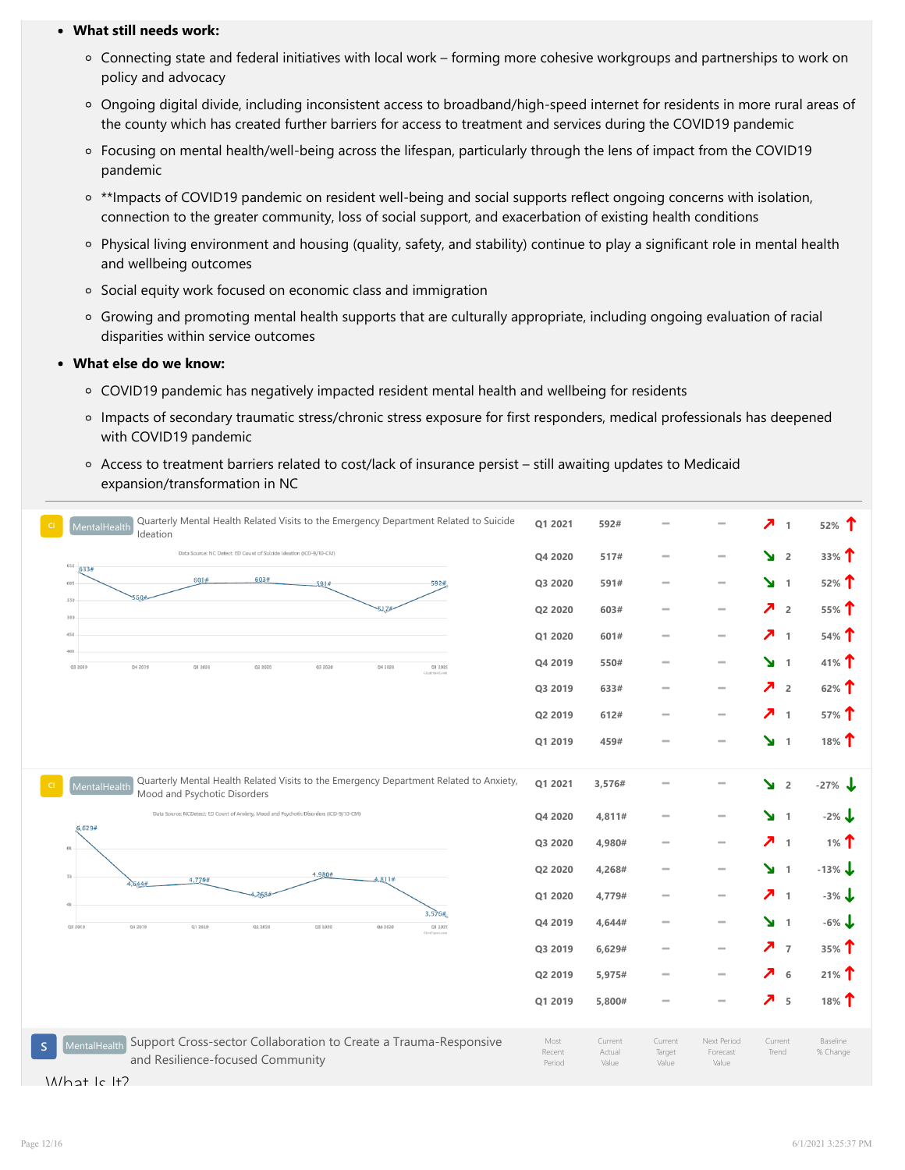#### What still needs work:

- Connecting state and federal initiatives with local work forming more cohesive workgroups and partnerships to work on policy and advocacy
- Ongoing digital divide, including inconsistent access to broadband/high-speed internet for residents in more rural areas of the county which has created further barriers for access to treatment and services during the COVID19 pandemic
- Focusing on mental health/well-being across the lifespan, particularly through the lens of impact from the COVID19 pandemic
- <sup>o</sup> \*\*Impacts of COVID19 pandemic on resident well-being and social supports reflect ongoing concerns with isolation, connection to the greater community, loss of social support, and exacerbation of existing health conditions
- Physical living environment and housing (quality, safety, and stability) continue to play a significant role in mental health and wellbeing outcomes
- o Social equity work focused on economic class and immigration
- Growing and promoting mental health supports that are culturally appropriate, including ongoing evaluation of racial disparities within service outcomes

# What else do we know:

- COVID19 pandemic has negatively impacted resident mental health and wellbeing for residents
- Impacts of secondary traumatic stress/chronic stress exposure for first responders, medical professionals has deepened with COVID19 pandemic
- Access to treatment barriers related to cost/lack of insurance persist still awaiting updates to Medicaid expansion/transformation in NC



What Is It?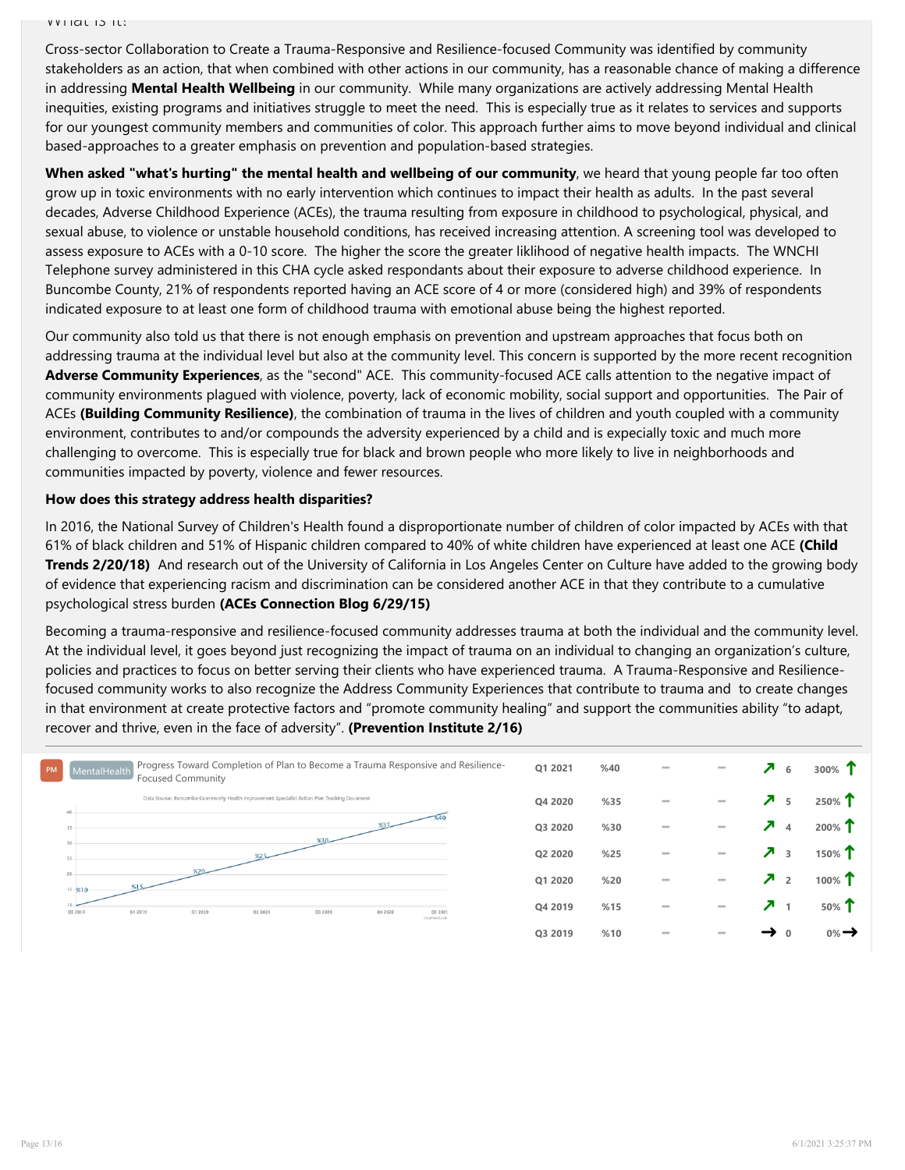What Is It?

Cross-sector Collaboration to Create a Trauma-Responsive and Resilience-focused Community was identified by community stakeholders as an action, that when combined with other actions in our community, has a reasonable chance of making a difference in addressing Mental Health Wellbeing in our community. While many organizations are actively addressing Mental Health inequities, existing programs and initiatives struggle to meet the need. This is especially true as it relates to services and supports for our youngest community members and communities of color. This approach further aims to move beyond individual and clinical based-approaches to a greater emphasis on prevention and population-based strategies.

When asked "what's hurting" the mental health and wellbeing of our community, we heard that young people far too often grow up in toxic environments with no early intervention which continues to impact their health as adults. In the past several decades, Adverse Childhood Experience (ACEs), the trauma resulting from exposure in childhood to psychological, physical, and sexual abuse, to violence or unstable household conditions, has received increasing attention. A screening tool was developed to assess exposure to ACEs with a 0-10 score. The higher the score the greater liklihood of negative health impacts. The WNCHI Telephone survey administered in this CHA cycle asked respondants about their exposure to adverse childhood experience. In Buncombe County, 21% of respondents reported having an ACE score of 4 or more (considered high) and 39% of respondents indicated exposure to at least one form of childhood trauma with emotional abuse being the highest reported.

Our community also told us that there is not enough emphasis on prevention and upstream approaches that focus both on addressing trauma at the individual level but also at the community level. This concern is supported by the more recent recognition Adverse Community Experiences, as the "second" ACE. This community-focused ACE calls attention to the negative impact of community environments plagued with violence, poverty, lack of economic mobility, social support and opportunities. The Pair of ACEs (Building Community Resilience), the combination of trauma in the lives of children and youth coupled with a community environment, contributes to and/or compounds the adversity experienced by a child and is expecially toxic and much more challenging to overcome. This is especially true for black and brown people who more likely to live in neighborhoods and communities impacted by poverty, violence and fewer resources.

# How does this strategy address health disparities?

In 2016, the National Survey of Children's Health found a disproportionate number of children of color impacted by ACEs with that 61% of black children and 51% of Hispanic children compared to 40% of white children have experienced at least one ACE (Child Trends 2/20/18) And research out of the University of California in Los Angeles Center on Culture have added to the growing body of evidence that experiencing racism and discrimination can be considered another ACE in that they contribute to a cumulative psychological stress burden (ACEs Connection Blog 6/29/15)

Becoming a trauma-responsive and resilience-focused community addresses trauma at both the individual and the community level. At the individual level, it goes beyond just recognizing the impact of trauma on an individual to changing an organization's culture, policies and prac[tices to focus on better serving their clients who have experienced tra](http://storage.clearimpact.com/Measure/Details/100077780)uma. A Trauma-Responsive and Resiliencefocused commu[nity wor](http://storage.clearimpact.com/Measure/Details/100077780)ks to also recognize the Address Community Experiences that contribute to trauma and to create changes in that environment at create protective factors and "promote community healing" and support the communities ability "to adapt, recover and thrive, even in the face of adversity". (Prevention Institute 2/16)

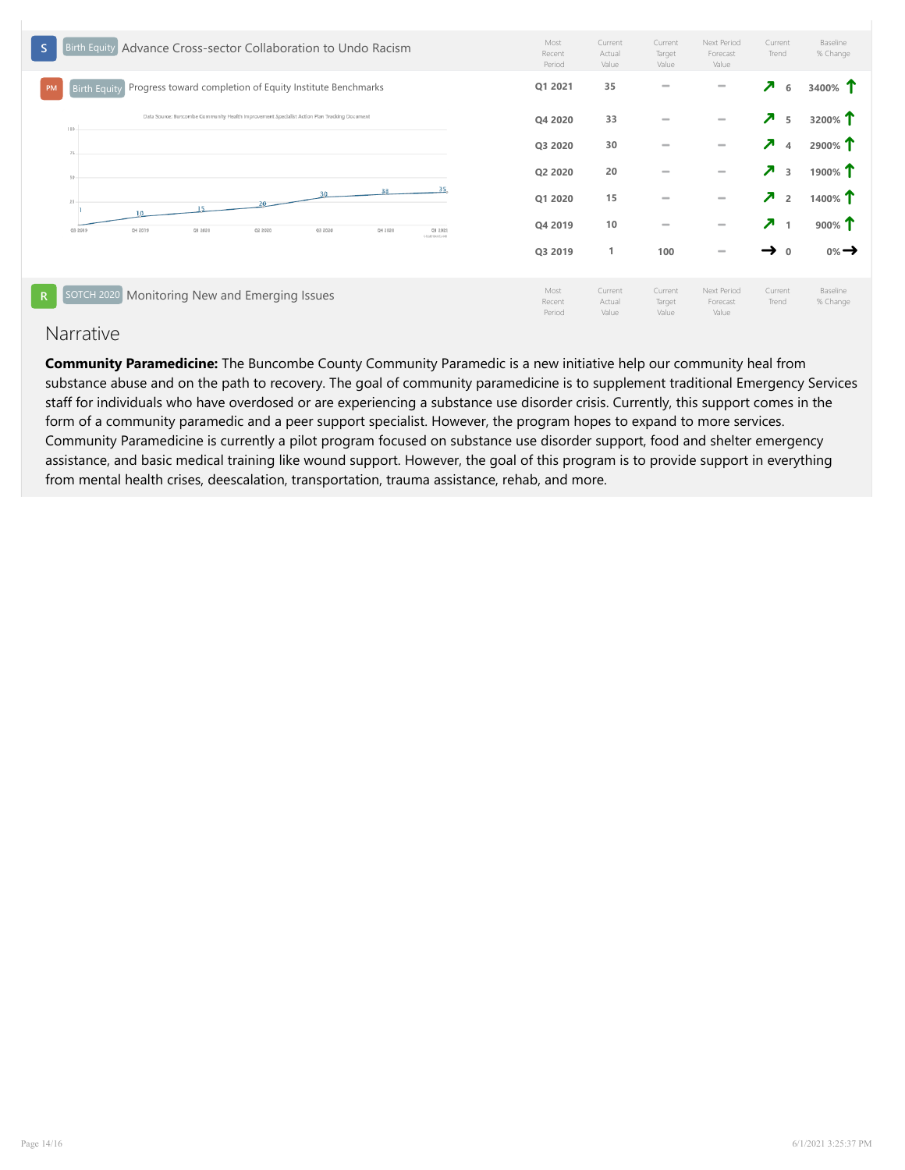

# Narrative

Community Paramedicine: The Buncombe County Community Paramedic is a new initiative help our community heal from substance abuse and on the path to recovery. The goal of community paramedicine is to supplement traditional Emergency Services staff for individuals who have overdosed or are experiencing a substance use disorder crisis. Currently, this support comes in the form of a community paramedic and a peer support specialist. However, the program hopes to expand to more services. Community Paramedicine is currently a pilot program focused on substance use disorder support, food and shelter emergency assistance, and basic medical training like wound support. However, the goal of this program is to provide support in everything from mental health crises, deescalation, transportation, trauma assistance, rehab, and more.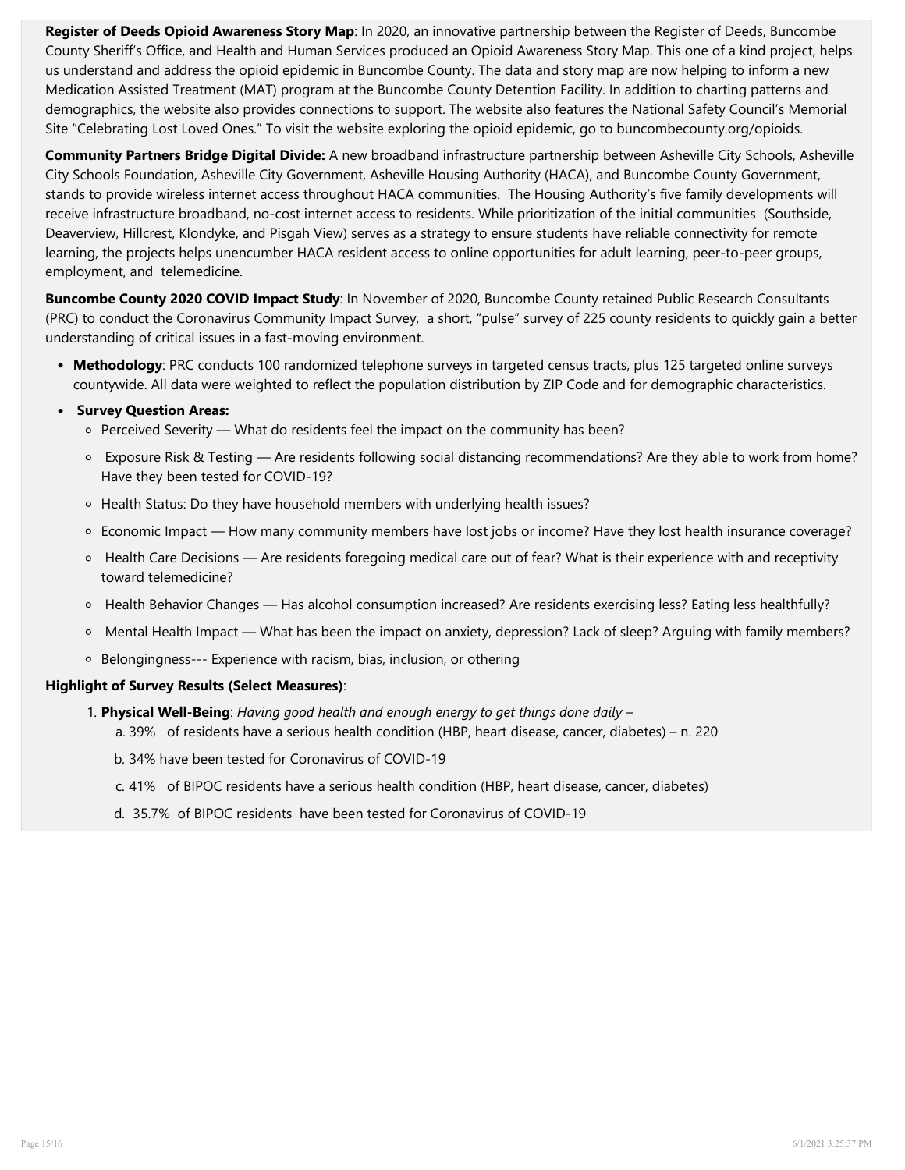Register of Deeds Opioid Awareness Story Map: In 2020, an innovative partnership between the Register of Deeds, Buncombe County Sheriff's Office, and Health and Human Services produced an Opioid Awareness Story Map. This one of a kind project, helps us understand and address the opioid epidemic in Buncombe County. The data and story map are now helping to inform a new Medication Assisted Treatment (MAT) program at the Buncombe County Detention Facility. In addition to charting patterns and demographics, the website also provides connections to support. The website also features the National Safety Council's Memorial Site "Celebrating Lost Loved Ones." To visit the website exploring the opioid epidemic, go to buncombecounty.org/opioids.

Community Partners Bridge Digital Divide: A new broadband infrastructure partnership between Asheville City Schools, Asheville City Schools Foundation, Asheville City Government, Asheville Housing Authority (HACA), and Buncombe County Government, stands to provide wireless internet access throughout HACA communities. The Housing Authority's five family developments will receive infrastructure broadband, no-cost internet access to residents. While prioritization of the initial communities (Southside, Deaverview, Hillcrest, Klondyke, and Pisgah View) serves as a strategy to ensure students have reliable connectivity for remote learning, the projects helps unencumber HACA resident access to online opportunities for adult learning, peer-to-peer groups, employment, and telemedicine.

Buncombe County 2020 COVID Impact Study: In November of 2020, Buncombe County retained Public Research Consultants (PRC) to conduct the Coronavirus Community Impact Survey, a short, "pulse" survey of 225 county residents to quickly gain a better under[standing of critical issues in a fast-movin](https://publichealth.gwu.edu/sites/default/files/downloads/Redstone-Center/BCR Trauma Equity and Resilience 2019.pdf)g environment.

• Methodology: PRC conducts 100 randomized telephone surveys in targeted census tracts, plus 125 targeted online surveys countywide. All data were weighted to reflect the population distribution by ZIP Code and for demographic characteristics.

# **• Survey Question Areas:**

- o Perceived Severity What do residents feel the impact on the community has been?
- Exposure Risk & Testing Are residents following social distancing recommendations? Are they able to work from home? Have they been tested for COVID-19?
- o [Health Stat](https://www.childtrends.org/publications/prevalence-adverse-childhood-experiences-nationally-state-race-ethnicity)us: Do they have household members with underlying health issues?
- Economic Impact H[ow many community members have lo](https://www.acesconnection.com/blog/more-evidence-that-racism-and-discrimination-are-aces)st jobs or income? Have they lost health insurance coverage?
- $\circ$  Health Care Decisions Are residents foregoing medical care out of fear? What is their experience with and receptivity toward telemedicine?
- Health Behavior Changes Has alcohol consumption increased? Are residents exercising less? Eating less healthfully?
- o Mental Health Impact What has been the impact on anxiety, depression? Lack of sleep? Arguing with family members?
- Belongingness--- Experience with racism, bias, inclusion, or othering

# Highlight of Survey Results (Select Measures):

- 1. Physical Well-Being: [Having good health and enough energy to get things d](http://storage.clearimpact.com/Measure/Details/100077774)one daily  $$ 
	- a. 39[% of residents h](http://storage.clearimpact.com/Measure/Details/100077774)ave a serious health condition (HBP, heart disease, cancer, diabetes) n. 220
	- b. 34% have been tested for Coronavirus of COVID-19
	- c. 41% of BIPOC residents have a serious health condition (HBP, heart disease, cancer, diabetes)
	- d. 35.7% of BIPOC residents have been tested for Coronavirus of COVID-19